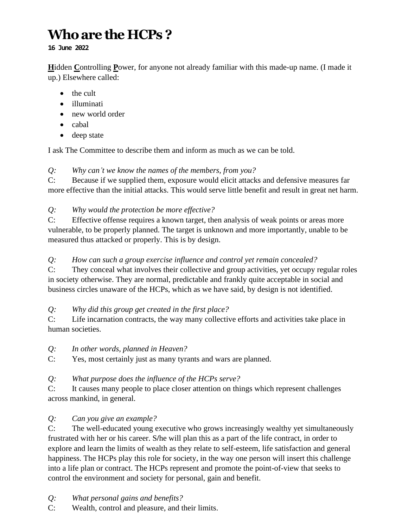# **Who are the HCPs ?**

**16 June 2022**

**H**idden **C**ontrolling **P**ower, for anyone not already familiar with this made-up name. (I made it up.) Elsewhere called:

- the cult
- illuminati
- new world order
- cabal
- deep state

I ask The Committee to describe them and inform as much as we can be told.

# *Q: Why can't we know the names of the members, from you?*

C: Because if we supplied them, exposure would elicit attacks and defensive measures far more effective than the initial attacks. This would serve little benefit and result in great net harm.

# *Q: Why would the protection be more effective?*

C: Effective offense requires a known target, then analysis of weak points or areas more vulnerable, to be properly planned. The target is unknown and more importantly, unable to be measured thus attacked or properly. This is by design.

## *Q: How can such a group exercise influence and control yet remain concealed?*

C: They conceal what involves their collective and group activities, yet occupy regular roles in society otherwise. They are normal, predictable and frankly quite acceptable in social and business circles unaware of the HCPs, which as we have said, by design is not identified.

# *Q: Why did this group get created in the first place?*

C: Life incarnation contracts, the way many collective efforts and activities take place in human societies.

#### *Q: In other words, planned in Heaven?*

C: Yes, most certainly just as many tyrants and wars are planned.

# *Q: What purpose does the influence of the HCPs serve?*

C: It causes many people to place closer attention on things which represent challenges across mankind, in general.

# *Q: Can you give an example?*

C: The well-educated young executive who grows increasingly wealthy yet simultaneously frustrated with her or his career. S**/**he will plan this as a part of the life contract, in order to explore and learn the limits of wealth as they relate to self-esteem, life satisfaction and general happiness. The HCPs play this role for society, in the way one person will insert this challenge into a life plan or contract. The HCPs represent and promote the point-of-view that seeks to control the environment and society for personal, gain and benefit.

- *Q: What personal gains and benefits?*
- C: Wealth, control and pleasure, and their limits.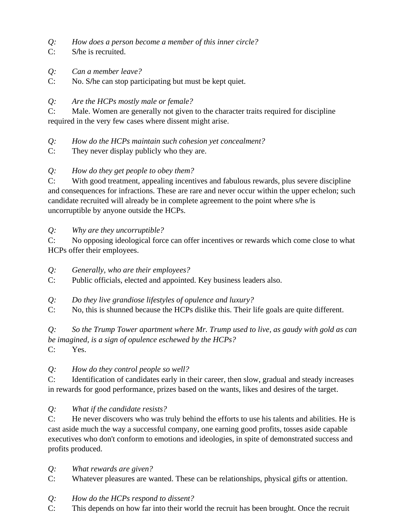- *Q: How does a person become a member of this inner circle?*
- C: S**/**he is recruited.
- *Q: Can a member leave?*
- C: No. S**/**he can stop participating but must be kept quiet.

#### *Q: Are the HCPs mostly male or female?*

C: Male. Women are generally not given to the character traits required for discipline required in the very few cases where dissent might arise.

- *Q: How do the HCPs maintain such cohesion yet concealment?*
- C: They never display publicly who they are.

## *Q: How do they get people to obey them?*

C: With good treatment, appealing incentives and fabulous rewards, plus severe discipline and consequences for infractions. These are rare and never occur within the upper echelon; such candidate recruited will already be in complete agreement to the point where s**/**he is uncorruptible by anyone outside the HCPs.

#### *Q: Why are they uncorruptible?*

C: No opposing ideological force can offer incentives or rewards which come close to what HCPs offer their employees.

#### *Q: Generally, who are their employees?*

C: Public officials, elected and appointed. Key business leaders also.

- *Q: Do they live grandiose lifestyles of opulence and luxury?*
- C: No, this is shunned because the HCPs dislike this. Their life goals are quite different.

*Q: So the Trump Tower apartment where Mr. Trump used to live, as gaudy with gold as can be imagined, is a sign of opulence eschewed by the HCPs?* 

C: Yes.

#### *Q: How do they control people so well?*

C: Identification of candidates early in their career, then slow, gradual and steady increases in rewards for good performance, prizes based on the wants, likes and desires of the target.

#### *Q: What if the candidate resists?*

C: He never discovers who was truly behind the efforts to use his talents and abilities. He is cast aside much the way a successful company, one earning good profits, tosses aside capable executives who don't conform to emotions and ideologies, in spite of demonstrated success and profits produced.

#### *Q: What rewards are given?*

C: Whatever pleasures are wanted. These can be relationships, physical gifts or attention.

#### *Q: How do the HCPs respond to dissent?*

C: This depends on how far into their world the recruit has been brought. Once the recruit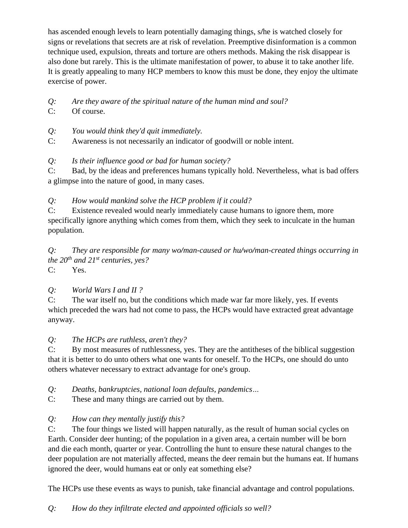has ascended enough levels to learn potentially damaging things, s**/**he is watched closely for signs or revelations that secrets are at risk of revelation. Preemptive disinformation is a common technique used, expulsion, threats and torture are others methods. Making the risk disappear is also done but rarely. This is the ultimate manifestation of power, to abuse it to take another life. It is greatly appealing to many HCP members to know this must be done, they enjoy the ultimate exercise of power.

- *Q: Are they aware of the spiritual nature of the human mind and soul?*
- C: Of course.
- *Q: You would think they'd quit immediately.*
- C: Awareness is not necessarily an indicator of goodwill or noble intent.

*Q: Is their influence good or bad for human society?*

C: Bad, by the ideas and preferences humans typically hold. Nevertheless, what is bad offers a glimpse into the nature of good, in many cases.

*Q: How would mankind solve the HCP problem if it could?*

C: Existence revealed would nearly immediately cause humans to ignore them, more specifically ignore anything which comes from them, which they seek to inculcate in the human population.

*Q: They are responsible for many wo/man-caused or hu/wo/man-created things occurring in the 20th and 21st centuries, yes?* C: Yes.

#### *Q: World Wars I and II ?*

C: The war itself no, but the conditions which made war far more likely, yes. If events which preceded the wars had not come to pass, the HCPs would have extracted great advantage anyway.

*Q: The HCPs are ruthless, aren't they?*

C: By most measures of ruthlessness, yes. They are the antitheses of the biblical suggestion that it is better to do unto others what one wants for oneself. To the HCPs, one should do unto others whatever necessary to extract advantage for one's group.

*Q: Deaths, bankruptcies, national loan defaults, pandemics…*

C: These and many things are carried out by them.

#### *Q: How can they mentally justify this?*

C: The four things we listed will happen naturally, as the result of human social cycles on Earth. Consider deer hunting; of the population in a given area, a certain number will be born and die each month, quarter or year. Controlling the hunt to ensure these natural changes to the deer population are not materially affected, means the deer remain but the humans eat. If humans ignored the deer, would humans eat or only eat something else?

The HCPs use these events as ways to punish, take financial advantage and control populations.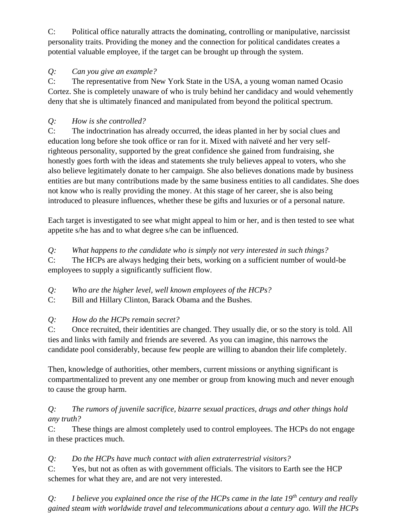C: Political office naturally attracts the dominating, controlling or manipulative, narcissist personality traits. Providing the money and the connection for political candidates creates a potential valuable employee, if the target can be brought up through the system.

## *Q: Can you give an example?*

C: The representative from New York State in the USA, a young woman named Ocasio Cortez. She is completely unaware of who is truly behind her candidacy and would vehemently deny that she is ultimately financed and manipulated from beyond the political spectrum.

# *Q: How is she controlled?*

C: The indoctrination has already occurred, the ideas planted in her by social clues and education long before she took office or ran for it. Mixed with naïveté and her very selfrighteous personality, supported by the great confidence she gained from fundraising, she honestly goes forth with the ideas and statements she truly believes appeal to voters, who she also believe legitimately donate to her campaign. She also believes donations made by business entities are but many contributions made by the same business entities to all candidates. She does not know who is really providing the money. At this stage of her career, she is also being introduced to pleasure influences, whether these be gifts and luxuries or of a personal nature.

Each target is investigated to see what might appeal to him or her, and is then tested to see what appetite s/he has and to what degree s/he can be influenced.

*Q: What happens to the candidate who is simply not very interested in such things?*

C: The HCPs are always hedging their bets, working on a sufficient number of would-be employees to supply a significantly sufficient flow.

*Q: Who are the higher level, well known employees of the HCPs?*

C: Bill and Hillary Clinton, Barack Obama and the Bushes.

# *Q: How do the HCPs remain secret?*

C: Once recruited, their identities are changed. They usually die, or so the story is told. All ties and links with family and friends are severed. As you can imagine, this narrows the candidate pool considerably, because few people are willing to abandon their life completely.

Then, knowledge of authorities, other members, current missions or anything significant is compartmentalized to prevent any one member or group from knowing much and never enough to cause the group harm.

# *Q: The rumors of juvenile sacrifice, bizarre sexual practices, drugs and other things hold any truth?*

C: These things are almost completely used to control employees. The HCPs do not engage in these practices much.

# *Q: Do the HCPs have much contact with alien extraterrestrial visitors?*

C: Yes, but not as often as with government officials. The visitors to Earth see the HCP schemes for what they are, and are not very interested.

*Q: I believe you explained once the rise of the HCPs came in the late 19th century and really gained steam with worldwide travel and telecommunications about a century ago. Will the HCPs*